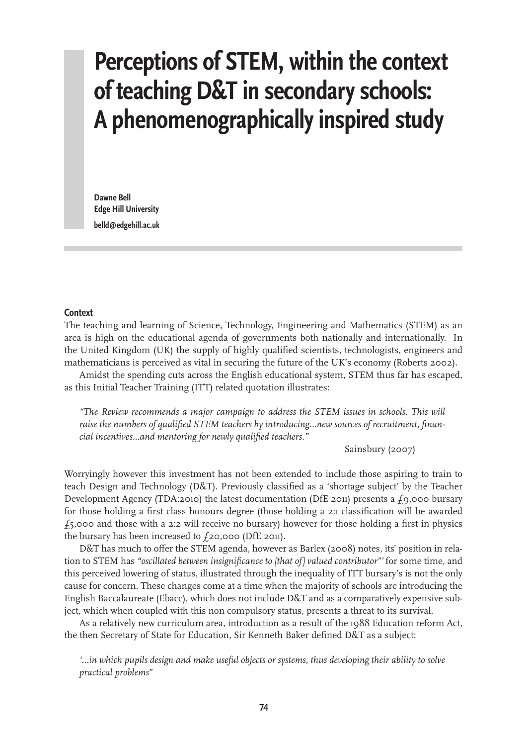# **Perceptions of STEM, within the context of teaching D&T in secondary schools: A phenomenographically inspired study**

**Dawne Bell Edge Hill University belld@edgehill.ac.uk**

#### **Context**

The teaching and learning of Science, Technology, Engineering and Mathematics (STEM) as an area is high on the educational agenda of governments both nationally and internationally. In the United Kingdom (UK) the supply of highly qualified scientists, technologists, engineers and mathematicians is perceived as vital in securing the future of the UK's economy (Roberts 2002).

Amidst the spending cuts across the English educational system, STEM thus far has escaped, as this Initial Teacher Training (ITT) related quotation illustrates:

*"The Review recommends a major campaign to address the STEM issues in schools. This will raise the numbers of qualified STEM teachers by introducing...new sources of recruitment, financial incentives...and mentoring for newly qualified teachers."* 

Sainsbury (2007)

Worryingly however this investment has not been extended to include those aspiring to train to teach Design and Technology (D&T). Previously classified as a 'shortage subject' by the Teacher Development Agency (TDA:2010) the latest documentation (DfE 2011) presents a  $f_9$ ,000 bursary for those holding a first class honours degree (those holding a 2:1 classification will be awarded  $f_5$ ,000 and those with a 2:2 will receive no bursary) however for those holding a first in physics the bursary has been increased to  $f_2$ 0,000 (DfE 2011).

D&T has much to offer the STEM agenda, however as Barlex (2008) notes, its' position in relation to STEM has *"oscillated between insignificance to [that of] valued contributor"'* for some time, and this perceived lowering of status, illustrated through the inequality of ITT bursary's is not the only cause for concern. These changes come at a time when the majority of schools are introducing the English Baccalaureate (Ebacc), which does not include D&T and as a comparatively expensive subject, which when coupled with this non compulsory status, presents a threat to its survival.

As a relatively new curriculum area, introduction as a result of the 1988 Education reform Act, the then Secretary of State for Education, Sir Kenneth Baker defined D&T as a subject:

*'...in which pupils design and make useful objects or systems, thus developing their ability to solve practical problems"*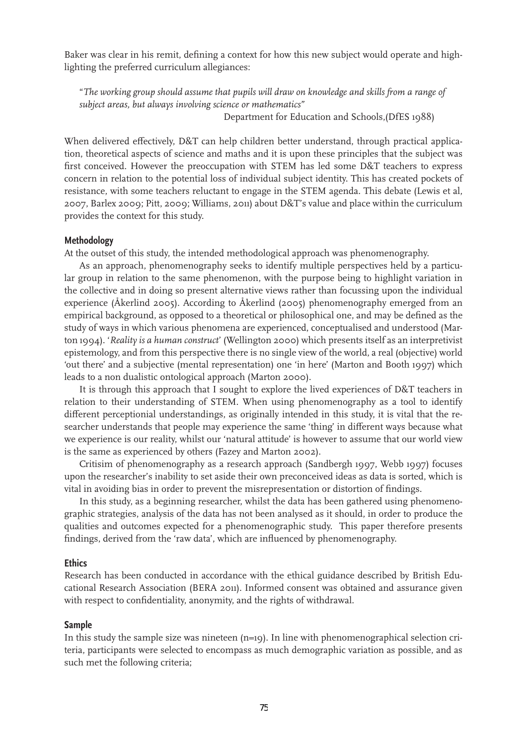Baker was clear in his remit, defining a context for how this new subject would operate and highlighting the preferred curriculum allegiances:

"*The working group should assume that pupils will draw on knowledge and skills from a range of subject areas, but always involving science or mathematics"* Department for Education and Schools, (DfES 1988)

When delivered effectively, D&T can help children better understand, through practical application, theoretical aspects of science and maths and it is upon these principles that the subject was first conceived. However the preoccupation with STEM has led some D&T teachers to express concern in relation to the potential loss of individual subject identity. This has created pockets of resistance, with some teachers reluctant to engage in the STEM agenda. This debate (Lewis et al, 2007, Barlex 2009; Pitt, 2009; Williams, 2011) about D&T's value and place within the curriculum provides the context for this study.

## **Methodology**

At the outset of this study, the intended methodological approach was phenomenography.

As an approach, phenomenography seeks to identify multiple perspectives held by a particular group in relation to the same phenomenon, with the purpose being to highlight variation in the collective and in doing so present alternative views rather than focussing upon the individual experience (Åkerlind 2005). According to Åkerlind (2005) phenomenography emerged from an empirical background, as opposed to a theoretical or philosophical one, and may be defined as the study of ways in which various phenomena are experienced, conceptualised and understood (Marton 1994). '*Reality is a human construct*' (Wellington 2000) which presents itself as an interpretivist epistemology, and from this perspective there is no single view of the world, a real (objective) world 'out there' and a subjective (mental representation) one 'in here' (Marton and Booth 1997) which leads to a non dualistic ontological approach (Marton 2000).

It is through this approach that I sought to explore the lived experiences of D&T teachers in relation to their understanding of STEM. When using phenomenography as a tool to identify different perceptionial understandings, as originally intended in this study, it is vital that the researcher understands that people may experience the same 'thing' in different ways because what we experience is our reality, whilst our 'natural attitude' is however to assume that our world view is the same as experienced by others (Fazey and Marton 2002).

Critisim of phenomenography as a research approach (Sandbergh 1997, Webb 1997) focuses upon the researcher's inability to set aside their own preconceived ideas as data is sorted, which is vital in avoiding bias in order to prevent the misrepresentation or distortion of findings.

In this study, as a beginning researcher, whilst the data has been gathered using phenomenographic strategies, analysis of the data has not been analysed as it should, in order to produce the qualities and outcomes expected for a phenomenographic study. This paper therefore presents findings, derived from the 'raw data', which are influenced by phenomenography.

#### **Ethics**

Research has been conducted in accordance with the ethical guidance described by British Educational Research Association (BERA 2011). Informed consent was obtained and assurance given with respect to confidentiality, anonymity, and the rights of withdrawal.

# **Sample**

In this study the sample size was nineteen  $(n=19)$ . In line with phenomenographical selection criteria, participants were selected to encompass as much demographic variation as possible, and as such met the following criteria;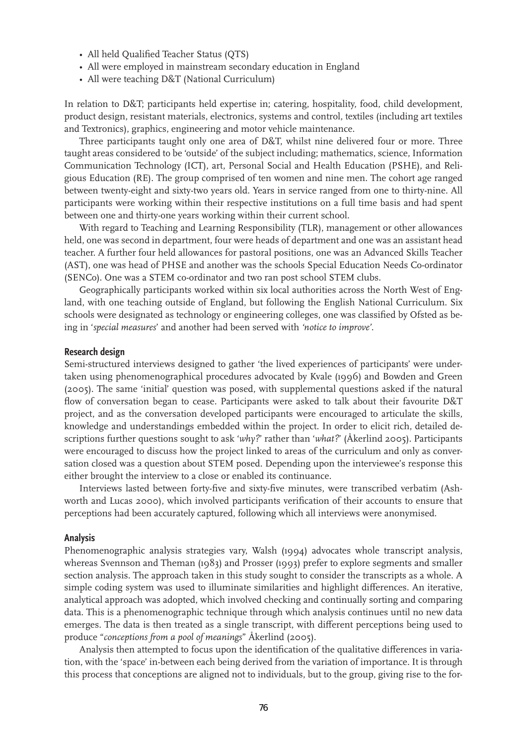- All held Qualified Teacher Status (QTS)
- All were employed in mainstream secondary education in England
- All were teaching D&T (National Curriculum)

In relation to D&T; participants held expertise in; catering, hospitality, food, child development, product design, resistant materials, electronics, systems and control, textiles (including art textiles and Textronics), graphics, engineering and motor vehicle maintenance.

Three participants taught only one area of D&T, whilst nine delivered four or more. Three taught areas considered to be 'outside' of the subject including; mathematics, science, Information Communication Technology (ICT), art, Personal Social and Health Education (PSHE), and Religious Education (RE). The group comprised of ten women and nine men. The cohort age ranged between twenty-eight and sixty-two years old. Years in service ranged from one to thirty-nine. All participants were working within their respective institutions on a full time basis and had spent between one and thirty-one years working within their current school.

With regard to Teaching and Learning Responsibility (TLR), management or other allowances held, one was second in department, four were heads of department and one was an assistant head teacher. A further four held allowances for pastoral positions, one was an Advanced Skills Teacher (AST), one was head of PHSE and another was the schools Special Education Needs Co-ordinator (SENCo). One was a STEM co-ordinator and two ran post school STEM clubs.

Geographically participants worked within six local authorities across the North West of England, with one teaching outside of England, but following the English National Curriculum. Six schools were designated as technology or engineering colleges, one was classified by Ofsted as being in '*special measures*' and another had been served with *'notice to improve'*.

#### **Research design**

Semi-structured interviews designed to gather 'the lived experiences of participants' were undertaken using phenomenographical procedures advocated by Kvale (1996) and Bowden and Green (2005). The same 'initial' question was posed, with supplemental questions asked if the natural flow of conversation began to cease. Participants were asked to talk about their favourite D&T project, and as the conversation developed participants were encouraged to articulate the skills, knowledge and understandings embedded within the project. In order to elicit rich, detailed descriptions further questions sought to ask '*why?*' rather than '*what?*' (Åkerlind 2005). Participants were encouraged to discuss how the project linked to areas of the curriculum and only as conversation closed was a question about STEM posed. Depending upon the interviewee's response this either brought the interview to a close or enabled its continuance.

Interviews lasted between forty-five and sixty-five minutes, were transcribed verbatim (Ashworth and Lucas 2000), which involved participants verification of their accounts to ensure that perceptions had been accurately captured, following which all interviews were anonymised.

#### **Analysis**

Phenomenographic analysis strategies vary, Walsh (1994) advocates whole transcript analysis, whereas Svennson and Theman (1983) and Prosser (1993) prefer to explore segments and smaller section analysis. The approach taken in this study sought to consider the transcripts as a whole. A simple coding system was used to illuminate similarities and highlight differences. An iterative, analytical approach was adopted, which involved checking and continually sorting and comparing data. This is a phenomenographic technique through which analysis continues until no new data emerges. The data is then treated as a single transcript, with different perceptions being used to produce "*conceptions from a pool of meanings*" Åkerlind (2005).

Analysis then attempted to focus upon the identification of the qualitative differences in variation, with the 'space' in-between each being derived from the variation of importance. It is through this process that conceptions are aligned not to individuals, but to the group, giving rise to the for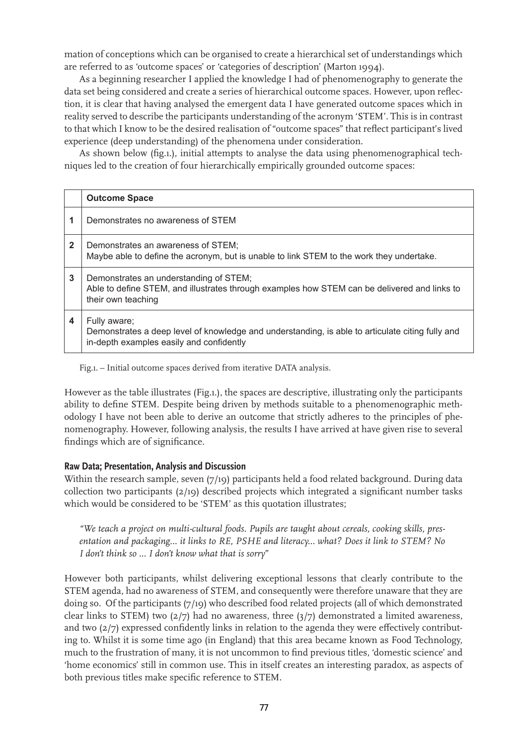mation of conceptions which can be organised to create a hierarchical set of understandings which are referred to as 'outcome spaces' or 'categories of description' (Marton 1994).

As a beginning researcher I applied the knowledge I had of phenomenography to generate the data set being considered and create a series of hierarchical outcome spaces. However, upon reflection, it is clear that having analysed the emergent data I have generated outcome spaces which in reality served to describe the participants understanding of the acronym 'STEM'. This is in contrast to that which I know to be the desired realisation of "outcome spaces" that reflect participant's lived experience (deep understanding) of the phenomena under consideration.

As shown below (fig.1.), initial attempts to analyse the data using phenomenographical techniques led to the creation of four hierarchically empirically grounded outcome spaces:

|              | <b>Outcome Space</b>                                                                                                                                         |
|--------------|--------------------------------------------------------------------------------------------------------------------------------------------------------------|
|              | Demonstrates no awareness of STEM                                                                                                                            |
| $\mathbf{2}$ | Demonstrates an awareness of STEM;<br>Maybe able to define the acronym, but is unable to link STEM to the work they undertake.                               |
| 3            | Demonstrates an understanding of STEM;<br>Able to define STEM, and illustrates through examples how STEM can be delivered and links to<br>their own teaching |
| 4            | Fully aware;<br>Demonstrates a deep level of knowledge and understanding, is able to articulate citing fully and<br>in-depth examples easily and confidently |

Fig.1. – Initial outcome spaces derived from iterative DATA analysis.

However as the table illustrates (Fig.1.), the spaces are descriptive, illustrating only the participants ability to define STEM. Despite being driven by methods suitable to a phenomenographic methodology I have not been able to derive an outcome that strictly adheres to the principles of phenomenography. However, following analysis, the results I have arrived at have given rise to several findings which are of significance.

# **Raw Data; Presentation, Analysis and Discussion**

Within the research sample, seven (7/19) participants held a food related background. During data collection two participants (2/19) described projects which integrated a significant number tasks which would be considered to be 'STEM' as this quotation illustrates;

*"We teach a project on multi-cultural foods. Pupils are taught about cereals, cooking skills, presentation and packaging... it links to RE, PSHE and literacy... what? Does it link to STEM? No I don't think so ... I don't know what that is sorry"* 

However both participants, whilst delivering exceptional lessons that clearly contribute to the STEM agenda, had no awareness of STEM, and consequently were therefore unaware that they are doing so. Of the participants (7/19) who described food related projects (all of which demonstrated clear links to STEM) two  $(2/7)$  had no awareness, three  $(3/7)$  demonstrated a limited awareness, and two (2/7) expressed confidently links in relation to the agenda they were effectively contributing to. Whilst it is some time ago (in England) that this area became known as Food Technology, much to the frustration of many, it is not uncommon to find previous titles, 'domestic science' and 'home economics' still in common use. This in itself creates an interesting paradox, as aspects of both previous titles make specific reference to STEM.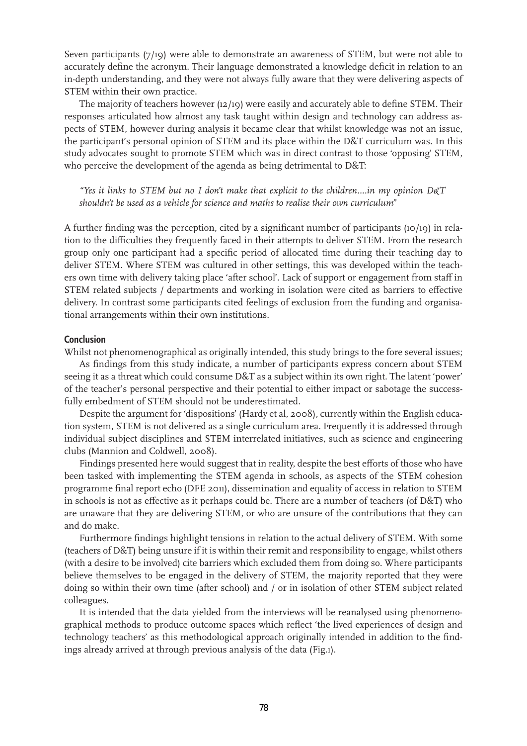Seven participants (7/19) were able to demonstrate an awareness of STEM, but were not able to accurately define the acronym. Their language demonstrated a knowledge deficit in relation to an in-depth understanding, and they were not always fully aware that they were delivering aspects of STEM within their own practice.

The majority of teachers however (12/19) were easily and accurately able to define STEM. Their responses articulated how almost any task taught within design and technology can address aspects of STEM, however during analysis it became clear that whilst knowledge was not an issue, the participant's personal opinion of STEM and its place within the D&T curriculum was. In this study advocates sought to promote STEM which was in direct contrast to those 'opposing' STEM, who perceive the development of the agenda as being detrimental to D&T:

*"Yes it links to STEM but no I don't make that explicit to the children....in my opinion D&T shouldn't be used as a vehicle for science and maths to realise their own curriculum"* 

A further finding was the perception, cited by a significant number of participants (10/19) in relation to the difficulties they frequently faced in their attempts to deliver STEM. From the research group only one participant had a specific period of allocated time during their teaching day to deliver STEM. Where STEM was cultured in other settings, this was developed within the teachers own time with delivery taking place 'after school'. Lack of support or engagement from staff in STEM related subjects / departments and working in isolation were cited as barriers to effective delivery. In contrast some participants cited feelings of exclusion from the funding and organisational arrangements within their own institutions.

### **Conclusion**

Whilst not phenomenographical as originally intended, this study brings to the fore several issues;

As findings from this study indicate, a number of participants express concern about STEM seeing it as a threat which could consume D&T as a subject within its own right. The latent 'power' of the teacher's personal perspective and their potential to either impact or sabotage the successfully embedment of STEM should not be underestimated.

Despite the argument for 'dispositions' (Hardy et al, 2008), currently within the English education system, STEM is not delivered as a single curriculum area. Frequently it is addressed through individual subject disciplines and STEM interrelated initiatives, such as science and engineering clubs (Mannion and Coldwell, 2008).

Findings presented here would suggest that in reality, despite the best efforts of those who have been tasked with implementing the STEM agenda in schools, as aspects of the STEM cohesion programme final report echo (DFE 2011), dissemination and equality of access in relation to STEM in schools is not as effective as it perhaps could be. There are a number of teachers (of D&T) who are unaware that they are delivering STEM, or who are unsure of the contributions that they can and do make.

Furthermore findings highlight tensions in relation to the actual delivery of STEM. With some (teachers of D&T) being unsure if it is within their remit and responsibility to engage, whilst others (with a desire to be involved) cite barriers which excluded them from doing so. Where participants believe themselves to be engaged in the delivery of STEM, the majority reported that they were doing so within their own time (after school) and / or in isolation of other STEM subject related colleagues.

It is intended that the data yielded from the interviews will be reanalysed using phenomenographical methods to produce outcome spaces which reflect 'the lived experiences of design and technology teachers' as this methodological approach originally intended in addition to the findings already arrived at through previous analysis of the data (Fig.1).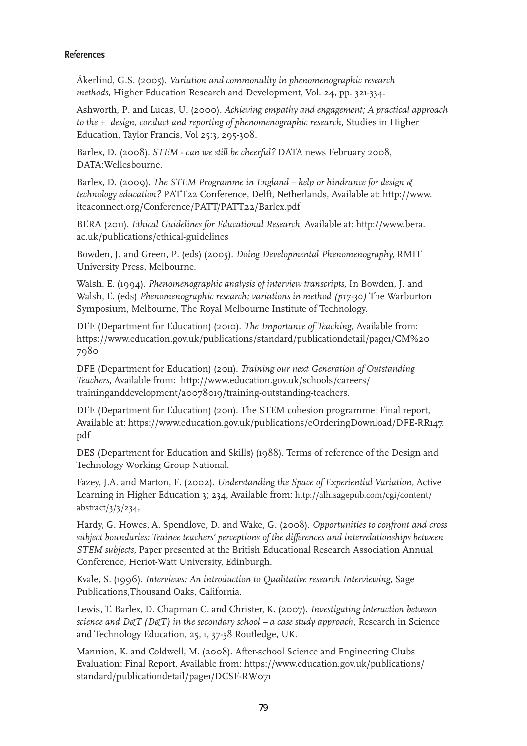# **References**

Åkerlind, G.S. (2005). *Variation and commonality in phenomenographic research methods*, Higher Education Research and Development, Vol. 24, pp. 321-334.

Ashworth, P. and Lucas, U. (2000). *Achieving empathy and engagement; A practical approach to the + design, conduct and reporting of phenomenographic research,* Studies in Higher Education, Taylor Francis, Vol 25:3, 295-308.

Barlex, D. (2008). *STEM - can we still be cheerful?* DATA news February 2008, DATA:Wellesbourne.

Barlex, D. (2009). *The STEM Programme in England – help or hindrance for design & technology education?* PATT22 Conference, Delft, Netherlands, Available at: http://www. iteaconnect.org/Conference/PATT/PATT22/Barlex.pdf

BERA (2011). *Ethical Guidelines for Educational Research*, Available at: http://www.bera. ac.uk/publications/ethical-guidelines

Bowden, J. and Green, P. (eds) (2005). *Doing Developmental Phenomenography,* RMIT University Press, Melbourne.

Walsh. E. (1994). *Phenomenographic analysis of interview transcripts,* In Bowden, J. and Walsh, E. (eds) *Phenomenographic research; variations in method (p17-30)* The Warburton Symposium, Melbourne, The Royal Melbourne Institute of Technology.

DFE (Department for Education) (2010). *The Importance of Teaching,* Available from: https://www.education.gov.uk/publications/standard/publicationdetail/page1/CM%20 7980

DFE (Department for Education) (2011). *Training our next Generation of Outstanding Teachers,* Available from: http://www.education.gov.uk/schools/careers/ traininganddevelopment/a0078019/training-outstanding-teachers.

DFE (Department for Education) (2011). The STEM cohesion programme: Final report, Available at: https://www.education.gov.uk/publications/eOrderingDownload/DFE-RR147. pdf

DES (Department for Education and Skills) (1988). Terms of reference of the Design and Technology Working Group National.

Fazey, J.A. and Marton, F. (2002). *Understanding the Space of Experiential Variation,* Active Learning in Higher Education 3; 234, Available from: http://alh.sagepub.com/cgi/content/ abstract/3/3/234,

Hardy, G. Howes, A. Spendlove, D. and Wake, G. (2008). *Opportunities to confront and cross subject boundaries: Trainee teachers' perceptions of the differences and interrelationships between STEM subjects,* Paper presented at the British Educational Research Association Annual Conference, Heriot-Watt University, Edinburgh.

Kvale, S. (1996). *Interviews: An introduction to Qualitative research Interviewing*, Sage Publications,Thousand Oaks, California.

Lewis, T. Barlex, D. Chapman C. and Christer, K. (2007). *Investigating interaction between science and D&T (D&T) in the secondary school – a case study approach*, Research in Science and Technology Education, 25, 1, 37-58 Routledge, UK.

Mannion, K. and Coldwell, M. (2008). After-school Science and Engineering Clubs Evaluation: Final Report, Available from: https://www.education.gov.uk/publications/ standard/publicationdetail/page1/DCSF-RW071